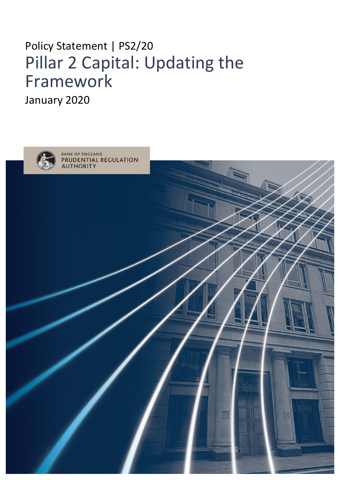# Policy Statement | PS2/20 Pillar 2 Capital: Updating the Framework

January 2020

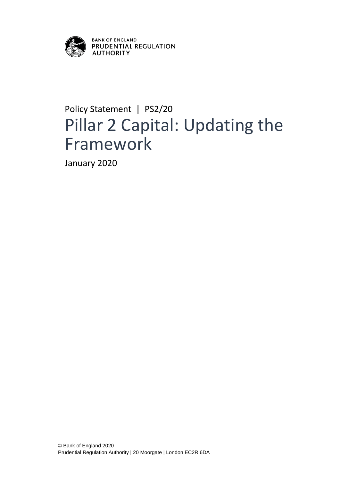

## Policy Statement | PS2/20 Pillar 2 Capital: Updating the Framework

January 2020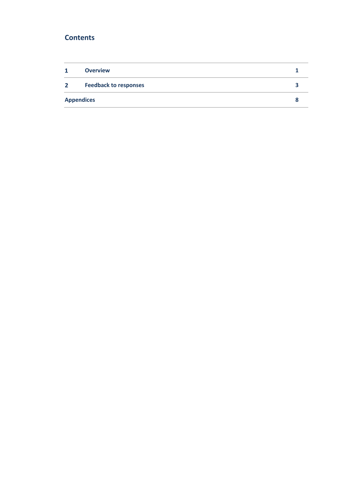## **Contents**

| $\mathbf{1}$      | <b>Overview</b>              |  |
|-------------------|------------------------------|--|
| $\mathbf{2}$      | <b>Feedback to responses</b> |  |
| <b>Appendices</b> |                              |  |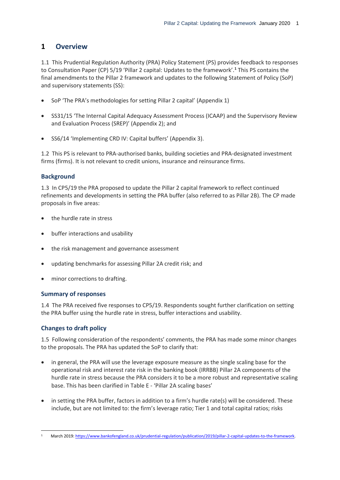## <span id="page-3-0"></span>**1 Overview**

1.1 This Prudential Regulation Authority (PRA) Policy Statement (PS) provides feedback to responses to Consultation Paper (CP) 5/19 'Pillar 2 capital: Updates to the framework'.**<sup>1</sup>** This PS contains the final amendments to the Pillar 2 framework and updates to the following Statement of Policy (SoP) and supervisory statements (SS):

- SoP 'The PRA's methodologies for setting Pillar 2 capital' (Appendix 1)
- SS31/15 'The Internal Capital Adequacy Assessment Process (ICAAP) and the Supervisory Review and Evaluation Process (SREP)' (Appendix 2); and
- SS6/14 'Implementing CRD IV: Capital buffers' (Appendix 3).

1.2 This PS is relevant to PRA-authorised banks, building societies and PRA-designated investment firms (firms). It is not relevant to credit unions, insurance and reinsurance firms.

## **Background**

1.3 In CP5/19 the PRA proposed to update the Pillar 2 capital framework to reflect continued refinements and developments in setting the PRA buffer (also referred to as Pillar 2B). The CP made proposals in five areas:

- the hurdle rate in stress
- buffer interactions and usability
- the risk management and governance assessment
- updating benchmarks for assessing Pillar 2A credit risk; and
- minor corrections to drafting.

## **Summary of responses**

1.4 The PRA received five responses to CP5/19. Respondents sought further clarification on setting the PRA buffer using the hurdle rate in stress, buffer interactions and usability.

## **Changes to draft policy**

1.5 Following consideration of the respondents' comments, the PRA has made some minor changes to the proposals. The PRA has updated the SoP to clarify that:

- in general, the PRA will use the leverage exposure measure as the single scaling base for the operational risk and interest rate risk in the banking book (IRRBB) Pillar 2A components of the hurdle rate in stress because the PRA considers it to be a more robust and representative scaling base. This has been clarified in Table E - 'Pillar 2A scaling bases'
- in setting the PRA buffer, factors in addition to a firm's hurdle rate(s) will be considered. These include, but are not limited to: the firm's leverage ratio; Tier 1 and total capital ratios; risks

<sup>-</sup>1 March 2019: https://www.bankofengland.co.uk/prudential-regulation/publication/2019/pillar-2-capital-updates-to-the-framework.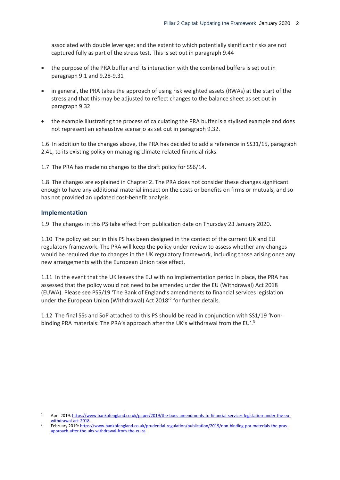associated with double leverage; and the extent to which potentially significant risks are not captured fully as part of the stress test. This is set out in paragraph 9.44

- the purpose of the PRA buffer and its interaction with the combined buffers is set out in paragraph 9.1 and 9.28-9.31
- in general, the PRA takes the approach of using risk weighted assets (RWAs) at the start of the stress and that this may be adjusted to reflect changes to the balance sheet as set out in paragraph 9.32
- the example illustrating the process of calculating the PRA buffer is a stylised example and does not represent an exhaustive scenario as set out in paragraph 9.32.

1.6 In addition to the changes above, the PRA has decided to add a reference in SS31/15, paragraph 2.41, to its existing policy on managing climate-related financial risks.

1.7 The PRA has made no changes to the draft policy for SS6/14.

1.8 The changes are explained in Chapter 2. The PRA does not consider these changes significant enough to have any additional material impact on the costs or benefits on firms or mutuals, and so has not provided an updated cost-benefit analysis.

#### **Implementation**

-

1.9 The changes in this PS take effect from publication date on Thursday 23 January 2020.

1.10 The policy set out in this PS has been designed in the context of the current UK and EU regulatory framework. The PRA will keep the policy under review to assess whether any changes would be required due to changes in the UK regulatory framework, including those arising once any new arrangements with the European Union take effect.

1.11 In the event that the UK leaves the EU with no implementation period in place, the PRA has assessed that the policy would not need to be amended under the EU (Withdrawal) Act 2018 (EUWA). Please see PS5/19 'The Bank of England's amendments to financial services legislation under the European Union (Withdrawal) Act 2018<sup>'2</sup> for further details.

1.12 The final SSs and SoP attached to this PS should be read in conjunction with SS1/19 'Nonbinding PRA materials: The PRA's approach after the UK's withdrawal from the EU'.<sup>3</sup>

<sup>2</sup> April 2019[: https://www.bankofengland.co.uk/paper/2019/the-boes-amendments-to-financial-services-legislation-under-the-eu](https://www.bankofengland.co.uk/paper/2019/the-boes-amendments-to-financial-services-legislation-under-the-eu-withdrawal-act-2018)[withdrawal-act-2018.](https://www.bankofengland.co.uk/paper/2019/the-boes-amendments-to-financial-services-legislation-under-the-eu-withdrawal-act-2018)

<sup>3</sup> February 2019[: https://www.bankofengland.co.uk/prudential-regulation/publication/2019/non-binding-pra-materials-the-pras](https://www.bankofengland.co.uk/prudential-regulation/publication/2019/non-binding-pra-materials-the-pras-approach-after-the-uks-withdrawal-from-the-eu-ss)[approach-after-the-uks-withdrawal-from-the-eu-ss.](https://www.bankofengland.co.uk/prudential-regulation/publication/2019/non-binding-pra-materials-the-pras-approach-after-the-uks-withdrawal-from-the-eu-ss)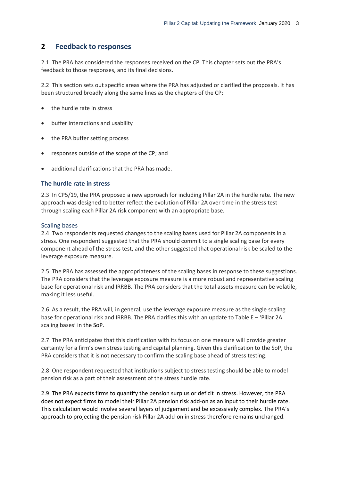## <span id="page-5-0"></span>**2 Feedback to responses**

2.1 The PRA has considered the responses received on the CP. This chapter sets out the PRA's feedback to those responses, and its final decisions.

2.2 This section sets out specific areas where the PRA has adjusted or clarified the proposals. It has been structured broadly along the same lines as the chapters of the CP:

- the hurdle rate in stress
- buffer interactions and usability
- the PRA buffer setting process
- responses outside of the scope of the CP; and
- additional clarifications that the PRA has made.

#### **The hurdle rate in stress**

2.3 In CP5/19, the PRA proposed a new approach for including Pillar 2A in the hurdle rate. The new approach was designed to better reflect the evolution of Pillar 2A over time in the stress test through scaling each Pillar 2A risk component with an appropriate base.

#### Scaling bases

2.4 Two respondents requested changes to the scaling bases used for Pillar 2A components in a stress. One respondent suggested that the PRA should commit to a single scaling base for every component ahead of the stress test, and the other suggested that operational risk be scaled to the leverage exposure measure.

2.5 The PRA has assessed the appropriateness of the scaling bases in response to these suggestions. The PRA considers that the leverage exposure measure is a more robust and representative scaling base for operational risk and IRRBB. The PRA considers that the total assets measure can be volatile, making it less useful.

2.6 As a result, the PRA will, in general, use the leverage exposure measure as the single scaling base for operational risk and IRRBB. The PRA clarifies this with an update to Table E – 'Pillar 2A scaling bases' in the SoP.

2.7 The PRA anticipates that this clarification with its focus on one measure will provide greater certainty for a firm's own stress testing and capital planning. Given this clarification to the SoP, the PRA considers that it is not necessary to confirm the scaling base ahead of stress testing.

2.8 One respondent requested that institutions subject to stress testing should be able to model pension risk as a part of their assessment of the stress hurdle rate.

2.9 The PRA expects firms to quantify the pension surplus or deficit in stress. However, the PRA does not expect firms to model their Pillar 2A pension risk add-on as an input to their hurdle rate. This calculation would involve several layers of judgement and be excessively complex. The PRA's approach to projecting the pension risk Pillar 2A add-on in stress therefore remains unchanged.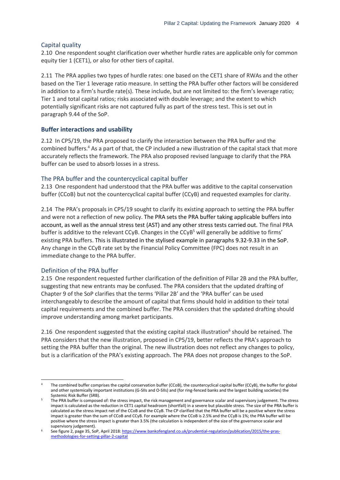#### Capital quality

2.10 One respondent sought clarification over whether hurdle rates are applicable only for common equity tier 1 (CET1), or also for other tiers of capital.

2.11 The PRA applies two types of hurdle rates: one based on the CET1 share of RWAs and the other based on the Tier 1 leverage ratio measure. In setting the PRA buffer other factors will be considered in addition to a firm's hurdle rate(s). These include, but are not limited to: the firm's leverage ratio; Tier 1 and total capital ratios; risks associated with double leverage; and the extent to which potentially significant risks are not captured fully as part of the stress test. This is set out in paragraph 9.44 of the SoP.

#### **Buffer interactions and usability**

2.12 In CP5/19, the PRA proposed to clarify the interaction between the PRA buffer and the combined buffers.<sup>4</sup> As a part of that, the CP included a new illustration of the capital stack that more accurately reflects the framework. The PRA also proposed revised language to clarify that the PRA buffer can be used to absorb losses in a stress.

#### The PRA buffer and the countercyclical capital buffer

2.13 One respondent had understood that the PRA buffer was additive to the capital conservation buffer (CCoB) but not the countercyclical capital buffer (CCyB) and requested examples for clarity.

2.14 The PRA's proposals in CP5/19 sought to clarify its existing approach to setting the PRA buffer and were not a reflection of new policy. The PRA sets the PRA buffer taking applicable buffers into account, as well as the annual stress test (AST) and any other stress tests carried out. The final PRA buffer is additive to the relevant CCyB. Changes in the CCyB<sup>5</sup> will generally be additive to firms' existing PRA buffers. This is illustrated in the stylised example in paragraphs 9.32-9.33 in the SoP. Any change in the CCyB rate set by the Financial Policy Committee (FPC) does not result in an immediate change to the PRA buffer.

#### Definition of the PRA buffer

-

2.15 One respondent requested further clarification of the definition of Pillar 2B and the PRA buffer, suggesting that new entrants may be confused. The PRA considers that the updated drafting of Chapter 9 of the SoP clarifies that the terms 'Pillar 2B' and the 'PRA buffer' can be used interchangeably to describe the amount of capital that firms should hold in addition to their total capital requirements and the combined buffer. The PRA considers that the updated drafting should improve understanding among market participants.

2.16 One respondent suggested that the existing capital stack illustration<sup>6</sup> should be retained. The PRA considers that the new illustration, proposed in CP5/19, better reflects the PRA's approach to setting the PRA buffer than the original. The new illustration does not reflect any changes to policy, but is a clarification of the PRA's existing approach. The PRA does not propose changes to the SoP.

<sup>4</sup> The combined buffer comprises the capital conservation buffer (CCoB), the countercyclical capital buffer (CCyB), the buffer for global and other systemically important institutions (G-SIIs and O-SIIs) and (for ring-fenced banks and the largest building societies) the Systemic Risk Buffer (SRB).

<sup>5</sup> The PRA buffer is composed of: the stress impact, the risk management and governance scalar and supervisory judgement. The stress impact is calculated as the reduction in CET1 capital headroom (shortfall) in a severe but plausible stress. The size of the PRA buffer is calculated as the stress impact net of the CCoB and the CCyB. The CP clarified that the PRA buffer will be a positive where the stress impact is greater than the sum of CCoB and CCyB. For example where the CCoB is 2.5% and the CCyB is 1%; the PRA buffer will be positive where the stress impact is greater than 3.5% (the calculation is independent of the size of the governance scalar and supervisory judgement).

<sup>6</sup> See figure 2, page 35, SoP, April 2018[: https://www.bankofengland.co.uk/prudential-regulation/publication/2015/the-pras](https://www.bankofengland.co.uk/prudential-regulation/publication/2015/the-pras-methodologies-for-setting-pillar-2-capital)[methodologies-for-setting-pillar-2-capital](https://www.bankofengland.co.uk/prudential-regulation/publication/2015/the-pras-methodologies-for-setting-pillar-2-capital)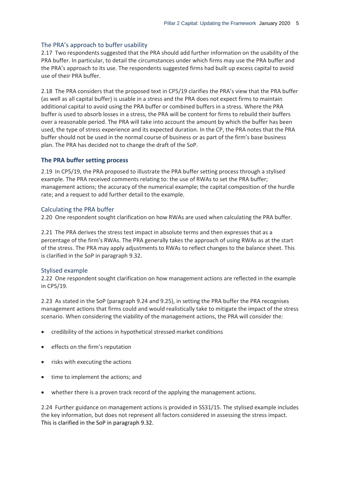#### The PRA's approach to buffer usability

2.17 Two respondents suggested that the PRA should add further information on the usability of the PRA buffer. In particular, to detail the circumstances under which firms may use the PRA buffer and the PRA's approach to its use. The respondents suggested firms had built up excess capital to avoid use of their PRA buffer.

2.18 The PRA considers that the proposed text in CP5/19 clarifies the PRA's view that the PRA buffer (as well as all capital buffer) is usable in a stress and the PRA does not expect firms to maintain additional capital to avoid using the PRA buffer or combined buffers in a stress. Where the PRA buffer is used to absorb losses in a stress, the PRA will be content for firms to rebuild their buffers over a reasonable period. The PRA will take into account the amount by which the buffer has been used, the type of stress experience and its expected duration. In the CP, the PRA notes that the PRA buffer should not be used in the normal course of business or as part of the firm's base business plan. The PRA has decided not to change the draft of the SoP.

#### **The PRA buffer setting process**

2.19 In CP5/19, the PRA proposed to illustrate the PRA buffer setting process through a stylised example. The PRA received comments relating to: the use of RWAs to set the PRA buffer; management actions; the accuracy of the numerical example; the capital composition of the hurdle rate; and a request to add further detail to the example.

#### Calculating the PRA buffer

2.20 One respondent sought clarification on how RWAs are used when calculating the PRA buffer.

2.21 The PRA derives the stress test impact in absolute terms and then expresses that as a percentage of the firm's RWAs. The PRA generally takes the approach of using RWAs as at the start of the stress. The PRA may apply adjustments to RWAs to reflect changes to the balance sheet. This is clarified in the SoP in paragraph 9.32.

#### Stylised example

2.22 One respondent sought clarification on how management actions are reflected in the example in CP5/19.

2.23 As stated in the SoP (paragraph 9.24 and 9.25), in setting the PRA buffer the PRA recognises management actions that firms could and would realistically take to mitigate the impact of the stress scenario. When considering the viability of the management actions, the PRA will consider the:

- credibility of the actions in hypothetical stressed market conditions
- effects on the firm's reputation
- risks with executing the actions
- time to implement the actions; and
- whether there is a proven track record of the applying the management actions.

2.24 Further guidance on management actions is provided in SS31/15. The stylised example includes the key information, but does not represent all factors considered in assessing the stress impact. This is clarified in the SoP in paragraph 9.32.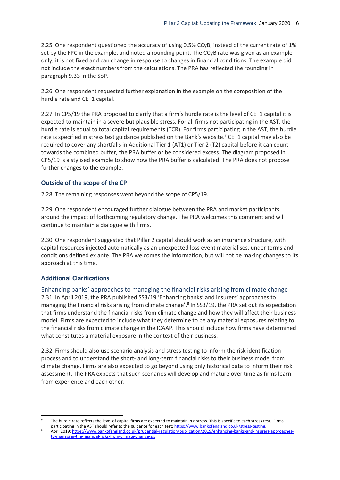2.25 One respondent questioned the accuracy of using 0.5% CCyB, instead of the current rate of 1% set by the FPC in the example, and noted a rounding point. The CCyB rate was given as an example only; it is not fixed and can change in response to changes in financial conditions. The example did not include the exact numbers from the calculations. The PRA has reflected the rounding in paragraph 9.33 in the SoP.

2.26 One respondent requested further explanation in the example on the composition of the hurdle rate and CET1 capital.

2.27 In CP5/19 the PRA proposed to clarify that a firm's hurdle rate is the level of CET1 capital it is expected to maintain in a severe but plausible stress. For all firms not participating in the AST, the hurdle rate is equal to total capital requirements (TCR). For firms participating in the AST, the hurdle rate is specified in stress test guidance published on the Bank's website.<sup>7</sup> CET1 capital may also be required to cover any shortfalls in Additional Tier 1 (AT1) or Tier 2 (T2) capital before it can count towards the combined buffer, the PRA buffer or be considered excess. The diagram proposed in CP5/19 is a stylised example to show how the PRA buffer is calculated. The PRA does not propose further changes to the example.

#### **Outside of the scope of the CP**

2.28 The remaining responses went beyond the scope of CP5/19.

2.29 One respondent encouraged further dialogue between the PRA and market participants around the impact of forthcoming regulatory change. The PRA welcomes this comment and will continue to maintain a dialogue with firms.

2.30 One respondent suggested that Pillar 2 capital should work as an insurance structure, with capital resources injected automatically as an unexpected loss event materialises, under terms and conditions defined ex ante. The PRA welcomes the information, but will not be making changes to its approach at this time.

#### **Additional Clarifications**

-

Enhancing banks' approaches to managing the financial risks arising from climate change 2.31 In April 2019, the PRA published SS3/19 'Enhancing banks' and insurers' approaches to managing the financial risks arising from climate change'.<sup>8</sup> In SS3/19, the PRA set out its expectation that firms understand the financial risks from climate change and how they will affect their business model. Firms are expected to include what they determine to be any material exposures relating to the financial risks from climate change in the ICAAP. This should include how firms have determined what constitutes a material exposure in the context of their business.

2.32 Firms should also use scenario analysis and stress testing to inform the risk identification process and to understand the short- and long-term financial risks to their business model from climate change. Firms are also expected to go beyond using only historical data to inform their risk assessment. The PRA expects that such scenarios will develop and mature over time as firms learn from experience and each other.

The hurdle rate reflects the level of capital firms are expected to maintain in a stress. This is specific to each stress test. Firms

participating in the AST should refer to the guidance for each test[: https://www.bankofengland.co.uk/stress-testing.](https://www.bankofengland.co.uk/stress-testing)

April 2019[: https://www.bankofengland.co.uk/prudential-regulation/publication/2019/enhancing-banks-and-insurers-approaches](https://www.bankofengland.co.uk/prudential-regulation/publication/2019/enhancing-banks-and-insurers-approaches-to-managing-the-financial-risks-from-climate-change-ss)[to-managing-the-financial-risks-from-climate-change-ss.](https://www.bankofengland.co.uk/prudential-regulation/publication/2019/enhancing-banks-and-insurers-approaches-to-managing-the-financial-risks-from-climate-change-ss)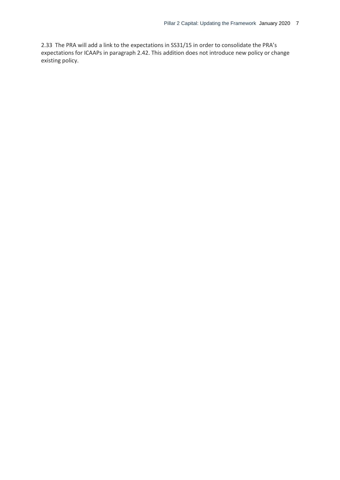2.33 The PRA will add a link to the expectations in SS31/15 in order to consolidate the PRA's expectations for ICAAPs in paragraph 2.42. This addition does not introduce new policy or change existing policy.